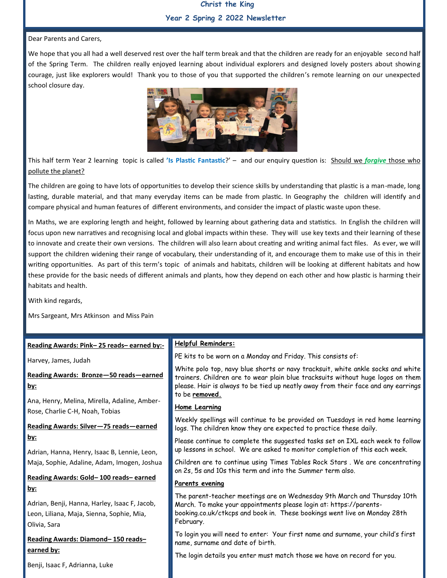### **Christ the King Year 2 Spring 2 2022 Newsletter**

#### Dear Parents and Carers,

We hope that you all had a well deserved rest over the half term break and that the children are ready for an enjoyable second half of the Spring Term. The children really enjoyed learning about individual explorers and designed lovely posters about showing courage, just like explorers would! Thank you to those of you that supported the children's remote learning on our unexpected school closure day.



This half term Year 2 learning topic is called **'Is Plastic Fantastic**?' – and our enquiry question is: Should we *forgive* those who pollute the planet?

The children are going to have lots of opportunities to develop their science skills by understanding that plastic is a man-made, long lasting, durable material, and that many everyday items can be made from plastic. In Geography the children will identify and compare physical and human features of different environments, and consider the impact of plastic waste upon these.

In Maths, we are exploring length and height, followed by learning about gathering data and statistics. In English the children will focus upon new narratives and recognising local and global impacts within these. They will use key texts and their learning of these to innovate and create their own versions. The children will also learn about creating and writing animal fact files. As ever, we will support the children widening their range of vocabulary, their understanding of it, and encourage them to make use of this in their writing opportunities. As part of this term's topic of animals and habitats, children will be looking at different habitats and how these provide for the basic needs of different animals and plants, how they depend on each other and how plastic is harming their habitats and health.

With kind regards,

Mrs Sargeant, Mrs Atkinson and Miss Pain

| Reading Awards: Pink-25 reads-earned by:-                                                                                | <b>Helpful Reminders:</b>                                                                                                                                                                                                                                                 |
|--------------------------------------------------------------------------------------------------------------------------|---------------------------------------------------------------------------------------------------------------------------------------------------------------------------------------------------------------------------------------------------------------------------|
| Harvey, James, Judah                                                                                                     | PE kits to be worn on a Monday and Friday. This consists of:                                                                                                                                                                                                              |
| Reading Awards: Bronze-50 reads-earned<br><u>by:</u>                                                                     | White polo top, navy blue shorts or navy tracksuit, white ankle socks and white<br>trainers. Children are to wear plain blue tracksuits without huge logos on them<br>please. Hair is always to be tied up neatly away from their face and any earrings<br>to be removed. |
| Ana, Henry, Melina, Mirella, Adaline, Amber-                                                                             | <b>Home Learning</b>                                                                                                                                                                                                                                                      |
| Rose, Charlie C-H, Noah, Tobias<br>Reading Awards: Silver-75 reads-earned                                                | Weekly spellings will continue to be provided on Tuesdays in red home learning<br>logs. The children know they are expected to practice these daily.                                                                                                                      |
| <u>by:</u>                                                                                                               | Please continue to complete the suggested tasks set on IXL each week to follow                                                                                                                                                                                            |
| Adrian, Hanna, Henry, Isaac B, Lennie, Leon,                                                                             | up lessons in school. We are asked to monitor completion of this each week.                                                                                                                                                                                               |
| Maja, Sophie, Adaline, Adam, Imogen, Joshua                                                                              | Children are to continue using Times Tables Rock Stars. We are concentrating<br>on 2s, 5s and 10s this term and into the Summer term also.                                                                                                                                |
| Reading Awards: Gold-100 reads-earned                                                                                    | Parents evening                                                                                                                                                                                                                                                           |
| <u>by:</u><br>Adrian, Benji, Hanna, Harley, Isaac F, Jacob,<br>Leon, Liliana, Maja, Sienna, Sophie, Mia,<br>Olivia, Sara | The parent-teacher meetings are on Wednesday 9th March and Thursday 10th<br>March. To make your appointments please login at: https://parents-<br>booking.co.uk/ctkcps and book in. These bookings went live on Monday 28th<br>February.                                  |
| Reading Awards: Diamond-150 reads-                                                                                       | To login you will need to enter: Your first name and surname, your child's first<br>name, surname and date of birth.                                                                                                                                                      |
| <u>earned by:</u>                                                                                                        | The login details you enter must match those we have on record for you.                                                                                                                                                                                                   |
| Benji, Isaac F, Adrianna, Luke                                                                                           |                                                                                                                                                                                                                                                                           |